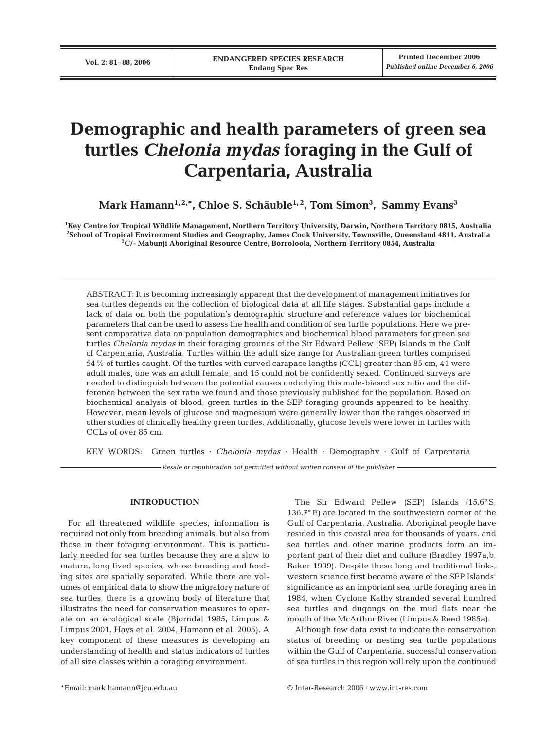# **Demographic and health parameters of green sea turtles** *Chelonia mydas* **foraging in the Gulf of Carpentaria, Australia**

**Mark Hamann1, 2,\*, Chloe S. Schäuble1, 2, Tom Simon3 , Sammy Evans3**

**1 Key Centre for Tropical Wildlife Management, Northern Territory University, Darwin, Northern Territory 0815, Australia 2 School of Tropical Environment Studies and Geography, James Cook University, Townsville, Queensland 4811, Australia 3 C/- Mabunji Aboriginal Resource Centre, Borroloola, Northern Territory 0854, Australia**

ABSTRACT: It is becoming increasingly apparent that the development of management initiatives for sea turtles depends on the collection of biological data at all life stages. Substantial gaps include a lack of data on both the population's demographic structure and reference values for biochemical parameters that can be used to assess the health and condition of sea turtle populations. Here we present comparative data on population demographics and biochemical blood parameters for green sea turtles *Chelonia mydas* in their foraging grounds of the Sir Edward Pellew (SEP) Islands in the Gulf of Carpentaria, Australia. Turtles within the adult size range for Australian green turtles comprised 54% of turtles caught. Of the turtles with curved carapace lengths (CCL) greater than 85 cm, 41 were adult males, one was an adult female, and 15 could not be confidently sexed. Continued surveys are needed to distinguish between the potential causes underlying this male-biased sex ratio and the difference between the sex ratio we found and those previously published for the population. Based on biochemical analysis of blood, green turtles in the SEP foraging grounds appeared to be healthy. However, mean levels of glucose and magnesium were generally lower than the ranges observed in other studies of clinically healthy green turtles. Additionally, glucose levels were lower in turtles with CCLs of over 85 cm.

KEY WORDS: Green turtles · *Chelonia mydas* · Health · Demography · Gulf of Carpentaria

*Resale or republication not permitted without written consent of the publisher*

# **INTRODUCTION**

For all threatened wildlife species, information is required not only from breeding animals, but also from those in their foraging environment. This is particularly needed for sea turtles because they are a slow to mature, long lived species, whose breeding and feeding sites are spatially separated. While there are volumes of empirical data to show the migratory nature of sea turtles, there is a growing body of literature that illustrates the need for conservation measures to operate on an ecological scale (Bjorndal 1985, Limpus & Limpus 2001, Hays et al. 2004, Hamann et al. 2005). A key component of these measures is developing an understanding of health and status indicators of turtles of all size classes within a foraging environment.

The Sir Edward Pellew (SEP) Islands (15.6° S, 136.7° E) are located in the southwestern corner of the Gulf of Carpentaria, Australia. Aboriginal people have resided in this coastal area for thousands of years, and sea turtles and other marine products form an important part of their diet and culture (Bradley 1997a,b, Baker 1999). Despite these long and traditional links, western science first became aware of the SEP Islands' significance as an important sea turtle foraging area in 1984, when Cyclone Kathy stranded several hundred sea turtles and dugongs on the mud flats near the mouth of the McArthur River (Limpus & Reed 1985a).

Although few data exist to indicate the conservation status of breeding or nesting sea turtle populations within the Gulf of Carpentaria, successful conservation of sea turtles in this region will rely upon the continued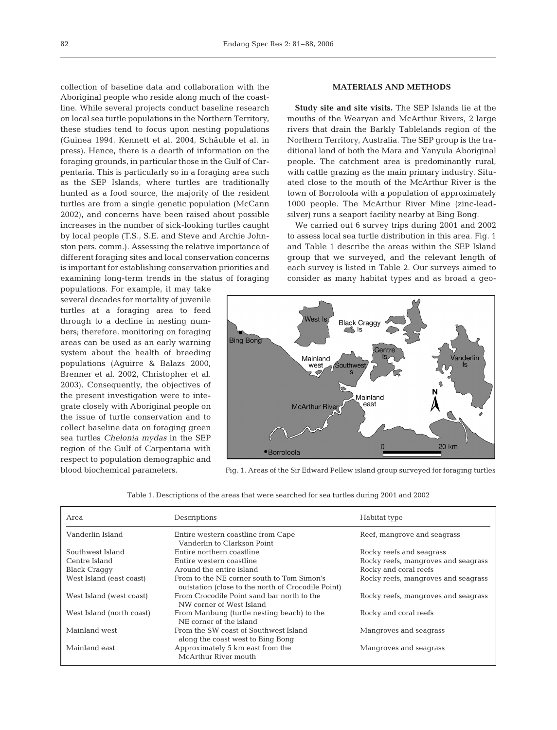collection of baseline data and collaboration with the Aboriginal people who reside along much of the coastline. While several projects conduct baseline research on local sea turtle populations in the Northern Territory, these studies tend to focus upon nesting populations (Guinea 1994, Kennett et al. 2004, Schäuble et al. in press). Hence, there is a dearth of information on the foraging grounds, in particular those in the Gulf of Carpentaria. This is particularly so in a foraging area such as the SEP Islands, where turtles are traditionally hunted as a food source, the majority of the resident turtles are from a single genetic population (McCann 2002), and concerns have been raised about possible increases in the number of sick-looking turtles caught by local people (T.S., S.E. and Steve and Archie Johnston pers. comm.). Assessing the relative importance of different foraging sites and local conservation concerns is important for establishing conservation priorities and examining long-term trends in the status of foraging

populations. For example, it may take several decades for mortality of juvenile turtles at a foraging area to feed through to a decline in nesting numbers; therefore, monitoring on foraging areas can be used as an early warning system about the health of breeding populations (Aguirre & Balazs 2000, Brenner et al. 2002, Christopher et al. 2003). Consequently, the objectives of the present investigation were to integrate closely with Aboriginal people on the issue of turtle conservation and to collect baseline data on foraging green sea turtles *Chelonia mydas* in the SEP region of the Gulf of Carpentaria with respect to population demographic and blood biochemical parameters.

# **MATERIALS AND METHODS**

**Study site and site visits.** The SEP Islands lie at the mouths of the Wearyan and McArthur Rivers, 2 large rivers that drain the Barkly Tablelands region of the Northern Territory, Australia. The SEP group is the traditional land of both the Mara and Yanyula Aboriginal people. The catchment area is predominantly rural, with cattle grazing as the main primary industry. Situated close to the mouth of the McArthur River is the town of Borroloola with a population of approximately 1000 people. The McArthur River Mine (zinc-leadsilver) runs a seaport facility nearby at Bing Bong.

We carried out 6 survey trips during 2001 and 2002 to assess local sea turtle distribution in this area. Fig. 1 and Table 1 describe the areas within the SEP Island group that we surveyed, and the relevant length of each survey is listed in Table 2. Our surveys aimed to consider as many habitat types and as broad a geo-



Fig. 1. Areas of the Sir Edward Pellew island group surveyed for foraging turtles

| Table 1. Descriptions of the areas that were searched for sea turtles during 2001 and 2002 |  |  |  |  |  |
|--------------------------------------------------------------------------------------------|--|--|--|--|--|
|--------------------------------------------------------------------------------------------|--|--|--|--|--|

| Area                      | Descriptions                                                                                     | Habitat type                        |
|---------------------------|--------------------------------------------------------------------------------------------------|-------------------------------------|
| Vanderlin Island          | Entire western coastline from Cape<br>Vanderlin to Clarkson Point                                | Reef, mangrove and seagrass         |
| Southwest Island          | Entire northern coastline                                                                        | Rocky reefs and seagrass            |
| Centre Island             | Entire western coastline                                                                         | Rocky reefs, mangroves and seagrass |
| <b>Black Craggy</b>       | Around the entire island                                                                         | Rocky and coral reefs               |
| West Island (east coast)  | From to the NE corner south to Tom Simon's<br>outstation (close to the north of Crocodile Point) | Rocky reefs, mangroves and seagrass |
| West Island (west coast)  | From Crocodile Point sand bar north to the<br>NW corner of West Island                           | Rocky reefs, mangroves and seagrass |
| West Island (north coast) | From Manbung (turtle nesting beach) to the<br>NE corner of the island                            | Rocky and coral reefs               |
| Mainland west             | From the SW coast of Southwest Island<br>along the coast west to Bing Bong                       | Mangroves and seagrass              |
| Mainland east             | Approximately 5 km east from the<br>McArthur River mouth                                         | Mangroves and seagrass              |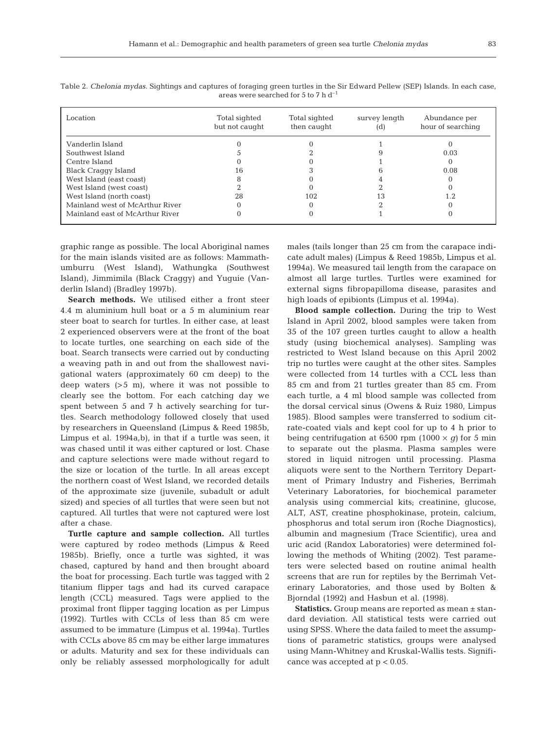| Location                        | Total sighted<br>but not caught | Total sighted<br>then caught | survey length<br>(d) | Abundance per<br>hour of searching |  |
|---------------------------------|---------------------------------|------------------------------|----------------------|------------------------------------|--|
| Vanderlin Island                |                                 |                              |                      |                                    |  |
| Southwest Island                |                                 |                              |                      | 0.03                               |  |
| Centre Island                   |                                 |                              |                      |                                    |  |
| Black Craggy Island             | 16                              |                              |                      | 0.08                               |  |
| West Island (east coast)        |                                 |                              |                      |                                    |  |
| West Island (west coast)        |                                 |                              |                      |                                    |  |
| West Island (north coast)       | 28                              | 102                          | Ι3                   |                                    |  |
| Mainland west of McArthur River |                                 |                              |                      |                                    |  |
| Mainland east of McArthur River |                                 |                              |                      |                                    |  |

Table 2. *Chelonia mydas.* Sightings and captures of foraging green turtles in the Sir Edward Pellew (SEP) Islands. In each case, areas were searched for 5 to 7 h  $d^{-1}$ 

graphic range as possible. The local Aboriginal names for the main islands visited are as follows: Mammathumburru (West Island), Wathungka (Southwest Island), Jimmimila (Black Craggy) and Yuguie (Vanderlin Island) (Bradley 1997b).

**Search methods.** We utilised either a front steer 4.4 m aluminium hull boat or a 5 m aluminium rear steer boat to search for turtles. In either case, at least 2 experienced observers were at the front of the boat to locate turtles, one searching on each side of the boat. Search transects were carried out by conducting a weaving path in and out from the shallowest navigational waters (approximately 60 cm deep) to the deep waters (>5 m), where it was not possible to clearly see the bottom. For each catching day we spent between 5 and 7 h actively searching for turtles. Search methodology followed closely that used by researchers in Queensland (Limpus & Reed 1985b, Limpus et al. 1994a,b), in that if a turtle was seen, it was chased until it was either captured or lost. Chase and capture selections were made without regard to the size or location of the turtle. In all areas except the northern coast of West Island, we recorded details of the approximate size (juvenile, subadult or adult sized) and species of all turtles that were seen but not captured. All turtles that were not captured were lost after a chase.

**Turtle capture and sample collection.** All turtles were captured by rodeo methods (Limpus & Reed 1985b). Briefly, once a turtle was sighted, it was chased, captured by hand and then brought aboard the boat for processing. Each turtle was tagged with 2 titanium flipper tags and had its curved carapace length (CCL) measured. Tags were applied to the proximal front flipper tagging location as per Limpus (1992). Turtles with CCLs of less than 85 cm were assumed to be immature (Limpus et al. 1994a). Turtles with CCLs above 85 cm may be either large immatures or adults. Maturity and sex for these individuals can only be reliably assessed morphologically for adult

males (tails longer than 25 cm from the carapace indicate adult males) (Limpus & Reed 1985b, Limpus et al. 1994a). We measured tail length from the carapace on almost all large turtles. Turtles were examined for external signs fibropapilloma disease, parasites and high loads of epibionts (Limpus et al. 1994a).

**Blood sample collection.** During the trip to West Island in April 2002, blood samples were taken from 35 of the 107 green turtles caught to allow a health study (using biochemical analyses). Sampling was restricted to West Island because on this April 2002 trip no turtles were caught at the other sites. Samples were collected from 14 turtles with a CCL less than 85 cm and from 21 turtles greater than 85 cm. From each turtle, a 4 ml blood sample was collected from the dorsal cervical sinus (Owens & Ruiz 1980, Limpus 1985). Blood samples were transferred to sodium citrate-coated vials and kept cool for up to 4 h prior to being centrifugation at 6500 rpm  $(1000 \times g)$  for 5 min to separate out the plasma. Plasma samples were stored in liquid nitrogen until processing. Plasma aliquots were sent to the Northern Territory Department of Primary Industry and Fisheries, Berrimah Veterinary Laboratories, for biochemical parameter analysis using commercial kits; creatinine, glucose, ALT, AST, creatine phosphokinase, protein, calcium, phosphorus and total serum iron (Roche Diagnostics), albumin and magnesium (Trace Scientific), urea and uric acid (Randox Laboratories) were determined following the methods of Whiting (2002). Test parameters were selected based on routine animal health screens that are run for reptiles by the Berrimah Veterinary Laboratories, and those used by Bolten & Bjorndal (1992) and Hasbun et al. (1998).

**Statistics.** Group means are reported as mean ± standard deviation. All statistical tests were carried out using SPSS. Where the data failed to meet the assumptions of parametric statistics, groups were analysed using Mann-Whitney and Kruskal-Wallis tests. Significance was accepted at  $p < 0.05$ .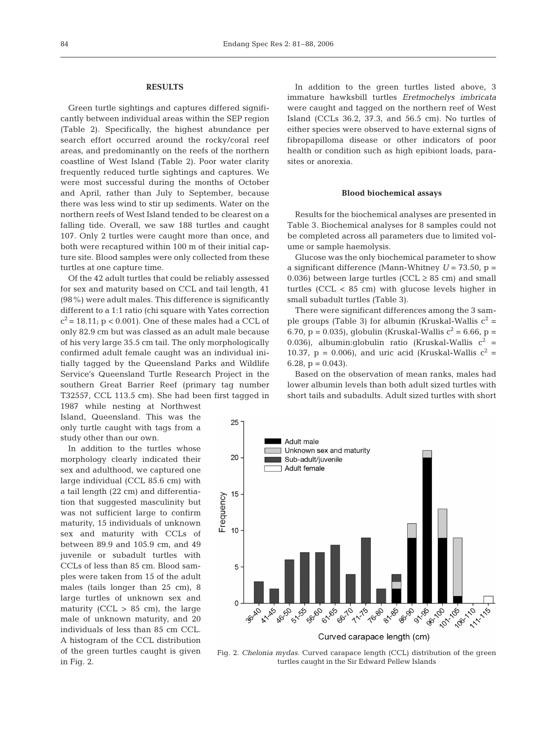#### **RESULTS**

Green turtle sightings and captures differed significantly between individual areas within the SEP region (Table 2). Specifically, the highest abundance per search effort occurred around the rocky/coral reef areas, and predominantly on the reefs of the northern coastline of West Island (Table 2). Poor water clarity frequently reduced turtle sightings and captures. We were most successful during the months of October and April, rather than July to September, because there was less wind to stir up sediments. Water on the northern reefs of West Island tended to be clearest on a falling tide. Overall, we saw 188 turtles and caught 107. Only 2 turtles were caught more than once, and both were recaptured within 100 m of their initial capture site. Blood samples were only collected from these turtles at one capture time.

Of the 42 adult turtles that could be reliably assessed for sex and maturity based on CCL and tail length, 41 (98%) were adult males. This difference is significantly different to a 1:1 ratio (chi square with Yates correction  $c^2$  = 18.11; p < 0.001). One of these males had a CCL of only 82.9 cm but was classed as an adult male because of his very large 35.5 cm tail. The only morphologically confirmed adult female caught was an individual initially tagged by the Queensland Parks and Wildlife Service's Queensland Turtle Research Project in the southern Great Barrier Reef (primary tag number T32557, CCL 113.5 cm). She had been first tagged in

1987 while nesting at Northwest Island, Queensland. This was the only turtle caught with tags from a study other than our own.

In addition to the turtles whose morphology clearly indicated their sex and adulthood, we captured one large individual (CCL 85.6 cm) with a tail length (22 cm) and differentiation that suggested masculinity but was not sufficient large to confirm maturity, 15 individuals of unknown sex and maturity with CCLs of between 89.9 and 105.9 cm, and 49 juvenile or subadult turtles with CCLs of less than 85 cm. Blood samples were taken from 15 of the adult males (tails longer than 25 cm), 8 large turtles of unknown sex and maturity (CCL  $> 85$  cm), the large male of unknown maturity, and 20 individuals of less than 85 cm CCL. A histogram of the CCL distribution of the green turtles caught is given in Fig. 2.

In addition to the green turtles listed above, 3 immature hawksbill turtles *Eretmochelys imbricata* were caught and tagged on the northern reef of West Island (CCLs 36.2, 37.3, and 56.5 cm). No turtles of either species were observed to have external signs of fibropapilloma disease or other indicators of poor health or condition such as high epibiont loads, parasites or anorexia.

#### **Blood biochemical assays**

Results for the biochemical analyses are presented in Table 3. Biochemical analyses for 8 samples could not be completed across all parameters due to limited volume or sample haemolysis.

Glucose was the only biochemical parameter to show a significant difference (Mann-Whitney  $U = 73.50$ ,  $p =$ 0.036) between large turtles (CCL  $\geq$  85 cm) and small turtles (CCL < 85 cm) with glucose levels higher in small subadult turtles (Table 3).

There were significant differences among the 3 sample groups (Table 3) for albumin (Kruskal-Wallis  $c^2$  = 6.70, p = 0.035), globulin (Kruskal-Wallis  $c^2 = 6.66$ , p = 0.036), albumin:qlobulin ratio (Kruskal-Wallis  $c^2$  = 10.37, p = 0.006), and uric acid (Kruskal-Wallis  $c^2$  = 6.28,  $p = 0.043$ .

Based on the observation of mean ranks, males had lower albumin levels than both adult sized turtles with short tails and subadults. Adult sized turtles with short



Fig. 2. *Chelonia mydas.* Curved carapace length (CCL) distribution of the green turtles caught in the Sir Edward Pellew Islands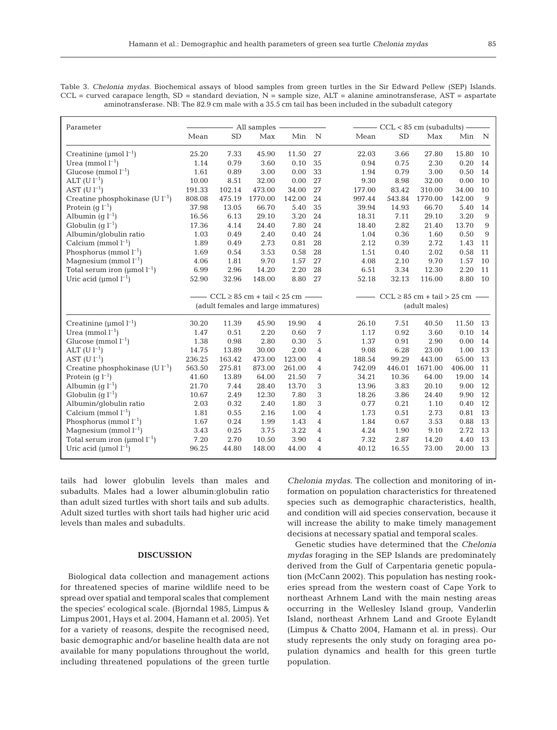| Table 3. <i>Chelonia mydas.</i> Biochemical assays of blood samples from green turtles in the Sir Edward Pellew (SEP) Islands. |
|--------------------------------------------------------------------------------------------------------------------------------|
| $CCL$ = curved carapace length, SD = standard deviation, N = sample size, ALT = alanine aminotransferase, AST = aspartate      |
| aminotransferase. NB: The 82.9 cm male with a 35.5 cm tail has been included in the subadult category                          |

| Parameter                               | All samples |           |                                     |        | $-$ CCL < 85 cm (subadults) $-$ |        |                                                  |         |        |    |
|-----------------------------------------|-------------|-----------|-------------------------------------|--------|---------------------------------|--------|--------------------------------------------------|---------|--------|----|
|                                         | Mean        | <b>SD</b> | Max                                 | Min    | $\mathbf N$                     | Mean   | <b>SD</b>                                        | Max     | Min    | N  |
| Creatinine ( $\mu$ mol $l^{-1}$ )       | 25.20       | 7.33      | 45.90                               | 11.50  | 27                              | 22.03  | 3.66                                             | 27.80   | 15.80  | 10 |
| Urea (mmol $l^{-1}$ )                   | 1.14        | 0.79      | 3.60                                | 0.10   | 35                              | 0.94   | 0.75                                             | 2.30    | 0.20   | 14 |
| Glucose (mmol $l^{-1}$ )                | 1.61        | 0.89      | 3.00                                | 0.00   | 33                              | 1.94   | 0.79                                             | 3.00    | 0.50   | 14 |
| ALT $(U l^{-1})$                        | 10.00       | 8.51      | 32.00                               | 0.00   | 27                              | 9.30   | 8.98                                             | 32.00   | 0.00   | 10 |
| AST $(U l^{-1})$                        | 191.33      | 102.14    | 473.00                              | 34.00  | 27                              | 177.00 | 83.42                                            | 310.00  | 34.00  | 10 |
| Creatine phosphokinase $(Ul^{-1})$      | 808.08      | 475.19    | 1770.00                             | 142.00 | 24                              | 997.44 | 543.84                                           | 1770.00 | 142.00 | 9  |
| Protein $(q l^{-1})$                    | 37.98       | 13.05     | 66.70                               | 5.40   | 35                              | 39.94  | 14.93                                            | 66.70   | 5.40   | 14 |
| Albumin (q $l^{-1}$ )                   | 16.56       | 6.13      | 29.10                               | 3.20   | 24                              | 18.31  | 7.11                                             | 29.10   | 3.20   | 9  |
| Globulin (q $l^{-1}$ )                  | 17.36       | 4.14      | 24.40                               | 7.80   | 24                              | 18.40  | 2.82                                             | 21.40   | 13.70  | 9  |
| Albumin/qlobulin ratio                  | 1.03        | 0.49      | 2.40                                | 0.40   | 24                              | 1.04   | 0.36                                             | 1.60    | 0.50   | 9  |
| Calcium (mmol $l^{-1}$ )                | 1.89        | 0.49      | 2.73                                | 0.81   | 28                              | 2.12   | 0.39                                             | 2.72    | 1.43   | 11 |
| Phosphorus (mmol $l^{-1}$ )             | 1.69        | 0.54      | 3.53                                | 0.58   | 28                              | 1.51   | 0.40                                             | 2.02    | 0.58   | 11 |
| Magnesium (mmol $l^{-1}$ )              | 4.06        | 1.81      | 9.70                                | 1.57   | 27                              | 4.08   | 2.10                                             | 9.70    | 1.57   | 10 |
| Total serum iron ( $\mu$ mol $l^{-1}$ ) | 6.99        | 2.96      | 14.20                               | 2.20   | 28                              | 6.51   | 3.34                                             | 12.30   | 2.20   | 11 |
| Uric acid ( $\mu$ mol $l^{-1}$ )        | 52.90       | 32.96     | 148.00                              | 8.80   | 27                              | 52.18  | 32.13                                            | 116.00  | 8.80   | 10 |
|                                         |             |           | $CCL \ge 85$ cm + tail < 25 cm -    |        |                                 |        |                                                  |         |        |    |
|                                         |             |           | (adult females and large immatures) |        |                                 |        | $-CCL \ge 85$ cm + tail > 25 cm<br>(adult males) |         |        |    |
|                                         |             |           |                                     |        |                                 |        |                                                  |         |        |    |
| Creatinine (umol $l^{-1}$ )             | 30.20       | 11.39     | 45.90                               | 19.90  | $\overline{4}$                  | 26.10  | 7.51                                             | 40.50   | 11.50  | 13 |
| Urea (mmol $l^{-1}$ )                   | 1.47        | 0.51      | 2.20                                | 0.60   | 7                               | 1.17   | 0.92                                             | 3.60    | 0.10   | 14 |
| Glucose (mmol $l^{-1}$ )                | 1.38        | 0.98      | 2.80                                | 0.30   | 5                               | 1.37   | 0.91                                             | 2.90    | 0.00   | 14 |
| $ALT (U l^{-1})$                        | 14.75       | 13.89     | 30.00                               | 2.00   | $\overline{4}$                  | 9.08   | 6.28                                             | 23.00   | 1.00   | 13 |
| AST $(U l^{-1})$                        | 236.25      | 163.42    | 473.00                              | 123.00 | $\overline{4}$                  | 188.54 | 99.29                                            | 443.00  | 65.00  | 13 |
| Creatine phosphokinase $(Ul^{-1})$      | 563.50      | 275.81    | 873.00                              | 261.00 | $\overline{4}$                  | 742.09 | 446.01                                           | 1671.00 | 406.00 | 11 |
| Protein $(q l^{-1})$                    | 41.60       | 13.89     | 64.00                               | 21.50  | 7                               | 34.21  | 10.36                                            | 64.00   | 19.00  | 14 |
| Albumin $(q l^{-1})$                    | 21.70       | 7.44      | 28.40                               | 13.70  | 3                               | 13.96  | 3.83                                             | 20.10   | 9.00   | 12 |
| Globulin $(q l^{-1})$                   | 10.67       | 2.49      | 12.30                               | 7.80   | 3                               | 18.26  | 3.86                                             | 24.40   | 9.90   | 12 |
| Albumin/qlobulin ratio                  | 2.03        | 0.32      | 2.40                                | 1.80   | 3                               | 0.77   | 0.21                                             | 1.10    | 0.40   | 12 |
| Calcium (mmol $l^{-1}$ )                | 1.81        | 0.55      | 2.16                                | 1.00   | $\overline{4}$                  | 1.73   | 0.51                                             | 2.73    | 0.81   | 13 |
| Phosphorus (mmol $l^{-1}$ )             | 1.67        | 0.24      | 1.99                                | 1.43   | 4                               | 1.84   | 0.67                                             | 3.53    | 0.88   | 13 |
| Magnesium (mmol $l^{-1}$ )              | 3.43        | 0.25      | 3.75                                | 3.22   | $\overline{4}$                  | 4.24   | 1.90                                             | 9.10    | 2.72   | 13 |
| Total serum iron ( $\mu$ mol $l^{-1}$ ) | 7.20        | 2.70      | 10.50                               | 3.90   | 4                               | 7.32   | 2.87                                             | 14.20   | 4.40   | 13 |
| Uric acid ( $\mu$ mol $l^{-1}$ )        | 96.25       | 44.80     | 148.00                              | 44.00  | 4                               | 40.12  | 16.55                                            | 73.00   | 20.00  | 13 |

tails had lower globulin levels than males and subadults. Males had a lower albumin:globulin ratio than adult sized turtles with short tails and sub adults. Adult sized turtles with short tails had higher uric acid levels than males and subadults.

### **DISCUSSION**

Biological data collection and management actions for threatened species of marine wildlife need to be spread over spatial and temporal scales that complement the species' ecological scale. (Bjorndal 1985, Limpus & Limpus 2001, Hays et al. 2004, Hamann et al. 2005). Yet for a variety of reasons, despite the recognised need, basic demographic and/or baseline health data are not available for many populations throughout the world, including threatened populations of the green turtle

*Chelonia mydas*. The collection and monitoring of information on population characteristics for threatened species such as demographic characteristics, health, and condition will aid species conservation, because it will increase the ability to make timely management decisions at necessary spatial and temporal scales.

Genetic studies have determined that the *Chelonia mydas* foraging in the SEP Islands are predominately derived from the Gulf of Carpentaria genetic population (McCann 2002). This population has nesting rookeries spread from the western coast of Cape York to northeast Arhnem Land with the main nesting areas occurring in the Wellesley Island group, Vanderlin Island, northeast Arhnem Land and Groote Eylandt (Limpus & Chatto 2004, Hamann et al. in press). Our study represents the only study on foraging area population dynamics and health for this green turtle population.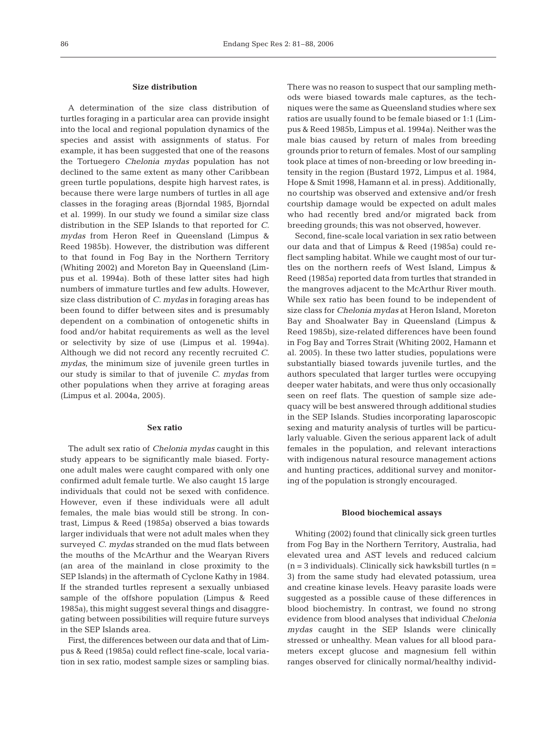## **Size distribution**

A determination of the size class distribution of turtles foraging in a particular area can provide insight into the local and regional population dynamics of the species and assist with assignments of status. For example, it has been suggested that one of the reasons the Tortuegero *Chelonia mydas* population has not declined to the same extent as many other Caribbean green turtle populations, despite high harvest rates, is because there were large numbers of turtles in all age classes in the foraging areas (Bjorndal 1985, Bjorndal et al. 1999). In our study we found a similar size class distribution in the SEP Islands to that reported for *C. mydas* from Heron Reef in Queensland (Limpus & Reed 1985b). However, the distribution was different to that found in Fog Bay in the Northern Territory (Whiting 2002) and Moreton Bay in Queensland (Limpus et al. 1994a). Both of these latter sites had high numbers of immature turtles and few adults. However, size class distribution of *C. mydas* in foraging areas has been found to differ between sites and is presumably dependent on a combination of ontogenetic shifts in food and/or habitat requirements as well as the level or selectivity by size of use (Limpus et al. 1994a). Although we did not record any recently recruited *C. mydas*, the minimum size of juvenile green turtles in our study is similar to that of juvenile *C. mydas* from other populations when they arrive at foraging areas (Limpus et al. 2004a, 2005).

## **Sex ratio**

The adult sex ratio of *Chelonia mydas* caught in this study appears to be significantly male biased. Fortyone adult males were caught compared with only one confirmed adult female turtle. We also caught 15 large individuals that could not be sexed with confidence. However, even if these individuals were all adult females, the male bias would still be strong. In contrast, Limpus & Reed (1985a) observed a bias towards larger individuals that were not adult males when they surveyed *C. mydas* stranded on the mud flats between the mouths of the McArthur and the Wearyan Rivers (an area of the mainland in close proximity to the SEP Islands) in the aftermath of Cyclone Kathy in 1984. If the stranded turtles represent a sexually unbiased sample of the offshore population (Limpus & Reed 1985a), this might suggest several things and disaggregating between possibilities will require future surveys in the SEP Islands area.

First, the differences between our data and that of Limpus & Reed (1985a) could reflect fine-scale, local variation in sex ratio, modest sample sizes or sampling bias.

There was no reason to suspect that our sampling methods were biased towards male captures, as the techniques were the same as Queensland studies where sex ratios are usually found to be female biased or 1:1 (Limpus & Reed 1985b, Limpus et al. 1994a). Neither was the male bias caused by return of males from breeding grounds prior to return of females. Most of our sampling took place at times of non-breeding or low breeding intensity in the region (Bustard 1972, Limpus et al. 1984, Hope & Smit 1998, Hamann et al. in press). Additionally, no courtship was observed and extensive and/or fresh courtship damage would be expected on adult males who had recently bred and/or migrated back from breeding grounds; this was not observed, however.

Second, fine-scale local variation in sex ratio between our data and that of Limpus & Reed (1985a) could reflect sampling habitat. While we caught most of our turtles on the northern reefs of West Island, Limpus & Reed (1985a) reported data from turtles that stranded in the mangroves adjacent to the McArthur River mouth. While sex ratio has been found to be independent of size class for *Chelonia mydas* at Heron Island, Moreton Bay and Shoalwater Bay in Queensland (Limpus & Reed 1985b), size-related differences have been found in Fog Bay and Torres Strait (Whiting 2002, Hamann et al. 2005). In these two latter studies, populations were substantially biased towards juvenile turtles, and the authors speculated that larger turtles were occupying deeper water habitats, and were thus only occasionally seen on reef flats. The question of sample size adequacy will be best answered through additional studies in the SEP Islands. Studies incorporating laparoscopic sexing and maturity analysis of turtles will be particularly valuable. Given the serious apparent lack of adult females in the population, and relevant interactions with indigenous natural resource management actions and hunting practices, additional survey and monitoring of the population is strongly encouraged.

#### **Blood biochemical assays**

Whiting (2002) found that clinically sick green turtles from Fog Bay in the Northern Territory, Australia, had elevated urea and AST levels and reduced calcium  $(n = 3$  individuals). Clinically sick hawksbill turtles  $(n = 1)$ 3) from the same study had elevated potassium, urea and creatine kinase levels. Heavy parasite loads were suggested as a possible cause of these differences in blood biochemistry. In contrast, we found no strong evidence from blood analyses that individual *Chelonia mydas* caught in the SEP Islands were clinically stressed or unhealthy. Mean values for all blood parameters except glucose and magnesium fell within ranges observed for clinically normal/healthy individ-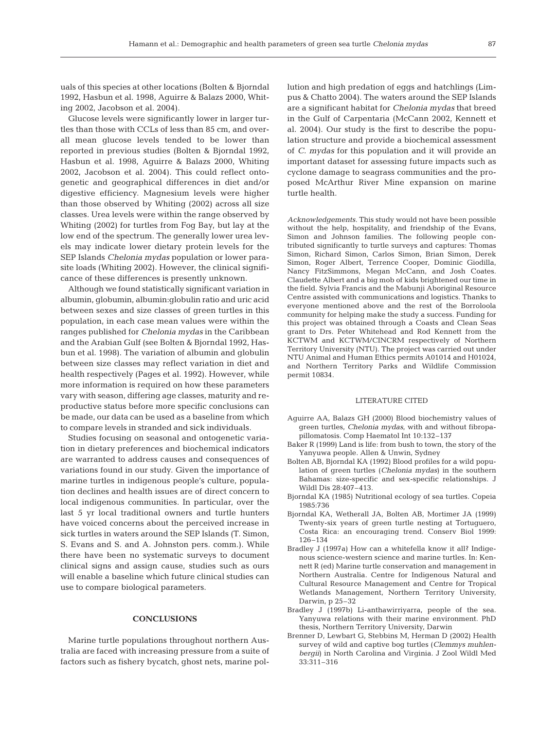87

uals of this species at other locations (Bolten & Bjorndal 1992, Hasbun et al. 1998, Aguirre & Balazs 2000, Whiting 2002, Jacobson et al. 2004).

Glucose levels were significantly lower in larger turtles than those with CCLs of less than 85 cm, and overall mean glucose levels tended to be lower than reported in previous studies (Bolten & Bjorndal 1992, Hasbun et al. 1998, Aguirre & Balazs 2000, Whiting 2002, Jacobson et al. 2004). This could reflect ontogenetic and geographical differences in diet and/or digestive efficiency. Magnesium levels were higher than those observed by Whiting (2002) across all size classes. Urea levels were within the range observed by Whiting (2002) for turtles from Fog Bay, but lay at the low end of the spectrum. The generally lower urea levels may indicate lower dietary protein levels for the SEP Islands *Chelonia mydas* population or lower parasite loads (Whiting 2002). However, the clinical significance of these differences is presently unknown.

Although we found statistically significant variation in albumin, globumin, albumin:globulin ratio and uric acid between sexes and size classes of green turtles in this population, in each case mean values were within the ranges published for *Chelonia mydas* in the Caribbean and the Arabian Gulf (see Bolten & Bjorndal 1992, Hasbun et al. 1998). The variation of albumin and globulin between size classes may reflect variation in diet and health respectively (Pages et al. 1992). However, while more information is required on how these parameters vary with season, differing age classes, maturity and reproductive status before more specific conclusions can be made, our data can be used as a baseline from which to compare levels in stranded and sick individuals.

Studies focusing on seasonal and ontogenetic variation in dietary preferences and biochemical indicators are warranted to address causes and consequences of variations found in our study. Given the importance of marine turtles in indigenous people's culture, population declines and health issues are of direct concern to local indigenous communities. In particular, over the last 5 yr local traditional owners and turtle hunters have voiced concerns about the perceived increase in sick turtles in waters around the SEP Islands (T. Simon, S. Evans and S. and A. Johnston pers. comm.). While there have been no systematic surveys to document clinical signs and assign cause, studies such as ours will enable a baseline which future clinical studies can use to compare biological parameters.

## **CONCLUSIONS**

Marine turtle populations throughout northern Australia are faced with increasing pressure from a suite of factors such as fishery bycatch, ghost nets, marine pollution and high predation of eggs and hatchlings (Limpus & Chatto 2004). The waters around the SEP Islands are a significant habitat for *Chelonia mydas* that breed in the Gulf of Carpentaria (McCann 2002, Kennett et al. 2004). Our study is the first to describe the population structure and provide a biochemical assessment of *C. mydas* for this population and it will provide an important dataset for assessing future impacts such as cyclone damage to seagrass communities and the proposed McArthur River Mine expansion on marine turtle health.

*Acknowledgements.* This study would not have been possible without the help, hospitality, and friendship of the Evans, Simon and Johnson families. The following people contributed significantly to turtle surveys and captures: Thomas Simon, Richard Simon, Carlos Simon, Brian Simon, Derek Simon, Roger Albert, Terrence Cooper, Dominic Giodilla, Nancy FitzSimmons, Megan McCann, and Josh Coates. Claudette Albert and a big mob of kids brightened our time in the field. Sylvia Francis and the Mabunji Aboriginal Resource Centre assisted with communications and logistics. Thanks to everyone mentioned above and the rest of the Borroloola community for helping make the study a success. Funding for this project was obtained through a Coasts and Clean Seas grant to Drs. Peter Whitehead and Rod Kennett from the KCTWM and KCTWM/CINCRM respectively of Northern Territory University (NTU). The project was carried out under NTU Animal and Human Ethics permits A01014 and H01024, and Northern Territory Parks and Wildlife Commission permit 10834.

#### LITERATURE CITED

- Aguirre AA, Balazs GH (2000) Blood biochemistry values of green turtles, *Chelonia mydas*, with and without fibropapillomatosis. Comp Haematol Int 10:132–137
- Baker R (1999) Land is life: from bush to town, the story of the Yanyuwa people. Allen & Unwin, Sydney
- Bolten AB, Bjorndal KA (1992) Blood profiles for a wild population of green turtles (*Chelonia mydas*) in the southern Bahamas: size-specific and sex-specific relationships. J Wildl Dis 28:407–413.
- Bjorndal KA (1985) Nutritional ecology of sea turtles. Copeia 1985:736
- Bjorndal KA, Wetherall JA, Bolten AB, Mortimer JA (1999) Twenty-six years of green turtle nesting at Tortuguero, Costa Rica: an encouraging trend. Conserv Biol 1999: 126–134
- Bradley J (1997a) How can a whitefella know it all? Indigenous science-western science and marine turtles. In: Kennett R (ed) Marine turtle conservation and management in Northern Australia. Centre for Indigenous Natural and Cultural Resource Management and Centre for Tropical Wetlands Management, Northern Territory University, Darwin, p 25–32
- Bradley J (1997b) Li-anthawirriyarra, people of the sea. Yanyuwa relations with their marine environment. PhD thesis, Northern Territory University, Darwin
- Brenner D, Lewbart G, Stebbins M, Herman D (2002) Health survey of wild and captive bog turtles (*Clemmys muhlenbergii*) in North Carolina and Virginia. J Zool Wildl Med 33:311–316